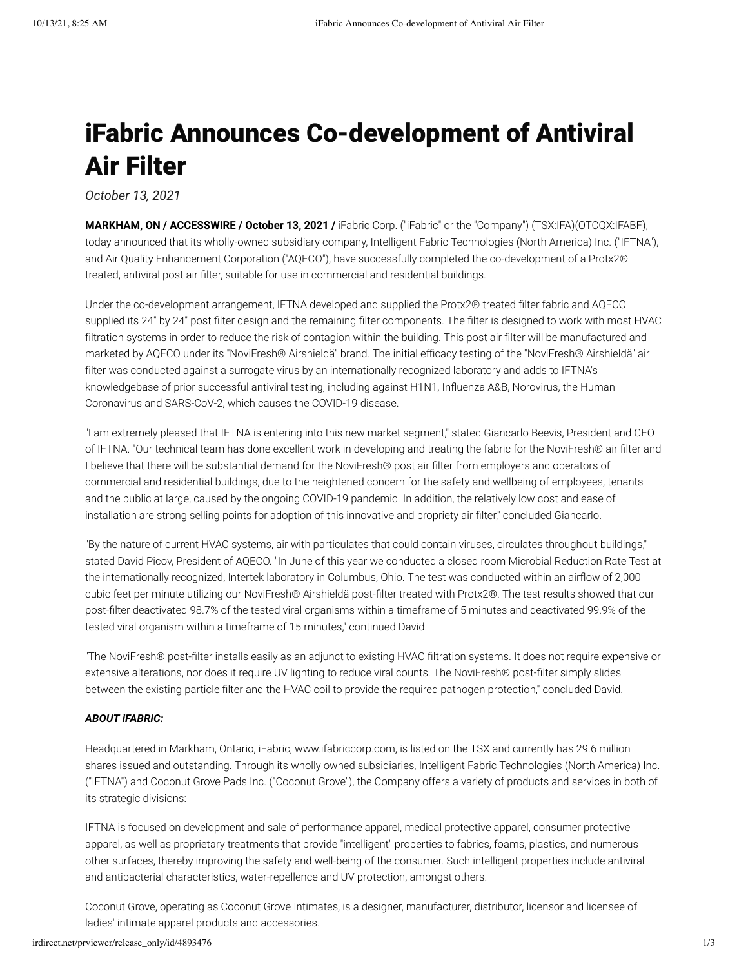# iFabric Announces Co-development of Antiviral Air Filter

*October 13, 2021*

**MARKHAM, ON / ACCESSWIRE / October 13, 2021 /** iFabric Corp. ("iFabric" or the "Company") (TSX:IFA)(OTCQX:IFABF), today announced that its wholly-owned subsidiary company, Intelligent Fabric Technologies (North America) Inc. ("IFTNA"), and Air Quality Enhancement Corporation ("AQECO"), have successfully completed the co-development of a Protx2® treated, antiviral post air filter, suitable for use in commercial and residential buildings.

Under the co-development arrangement, IFTNA developed and supplied the Protx2® treated filter fabric and AQECO supplied its 24" by 24" post filter design and the remaining filter components. The filter is designed to work with most HVAC filtration systems in order to reduce the risk of contagion within the building. This post air filter will be manufactured and marketed by AQECO under its "NoviFresh® Airshieldä" brand. The initial efficacy testing of the "NoviFresh® Airshieldä" air filter was conducted against a surrogate virus by an internationally recognized laboratory and adds to IFTNA's knowledgebase of prior successful antiviral testing, including against H1N1, Influenza A&B, Norovirus, the Human Coronavirus and SARS-CoV-2, which causes the COVID-19 disease.

"I am extremely pleased that IFTNA is entering into this new market segment," stated Giancarlo Beevis, President and CEO of IFTNA. "Our technical team has done excellent work in developing and treating the fabric for the NoviFresh® air filter and I believe that there will be substantial demand for the NoviFresh® post air filter from employers and operators of commercial and residential buildings, due to the heightened concern for the safety and wellbeing of employees, tenants and the public at large, caused by the ongoing COVID-19 pandemic. In addition, the relatively low cost and ease of installation are strong selling points for adoption of this innovative and propriety air filter," concluded Giancarlo.

"By the nature of current HVAC systems, air with particulates that could contain viruses, circulates throughout buildings," stated David Picov, President of AQECO. "In June of this year we conducted a closed room Microbial Reduction Rate Test at the internationally recognized, Intertek laboratory in Columbus, Ohio. The test was conducted within an airflow of 2,000 cubic feet per minute utilizing our NoviFresh® Airshieldä post-filter treated with Protx2®. The test results showed that our post-filter deactivated 98.7% of the tested viral organisms within a timeframe of 5 minutes and deactivated 99.9% of the tested viral organism within a timeframe of 15 minutes," continued David.

"The NoviFresh® post-filter installs easily as an adjunct to existing HVAC filtration systems. It does not require expensive or extensive alterations, nor does it require UV lighting to reduce viral counts. The NoviFresh® post-filter simply slides between the existing particle filter and the HVAC coil to provide the required pathogen protection," concluded David.

### *ABOUT iFABRIC:*

Headquartered in Markham, Ontario, iFabric, www.ifabriccorp.com, is listed on the TSX and currently has 29.6 million shares issued and outstanding. Through its wholly owned subsidiaries, Intelligent Fabric Technologies (North America) Inc. ("IFTNA") and Coconut Grove Pads Inc. ("Coconut Grove"), the Company offers a variety of products and services in both of its strategic divisions:

IFTNA is focused on development and sale of performance apparel, medical protective apparel, consumer protective apparel, as well as proprietary treatments that provide "intelligent" properties to fabrics, foams, plastics, and numerous other surfaces, thereby improving the safety and well-being of the consumer. Such intelligent properties include antiviral and antibacterial characteristics, water-repellence and UV protection, amongst others.

Coconut Grove, operating as Coconut Grove Intimates, is a designer, manufacturer, distributor, licensor and licensee of ladies' intimate apparel products and accessories.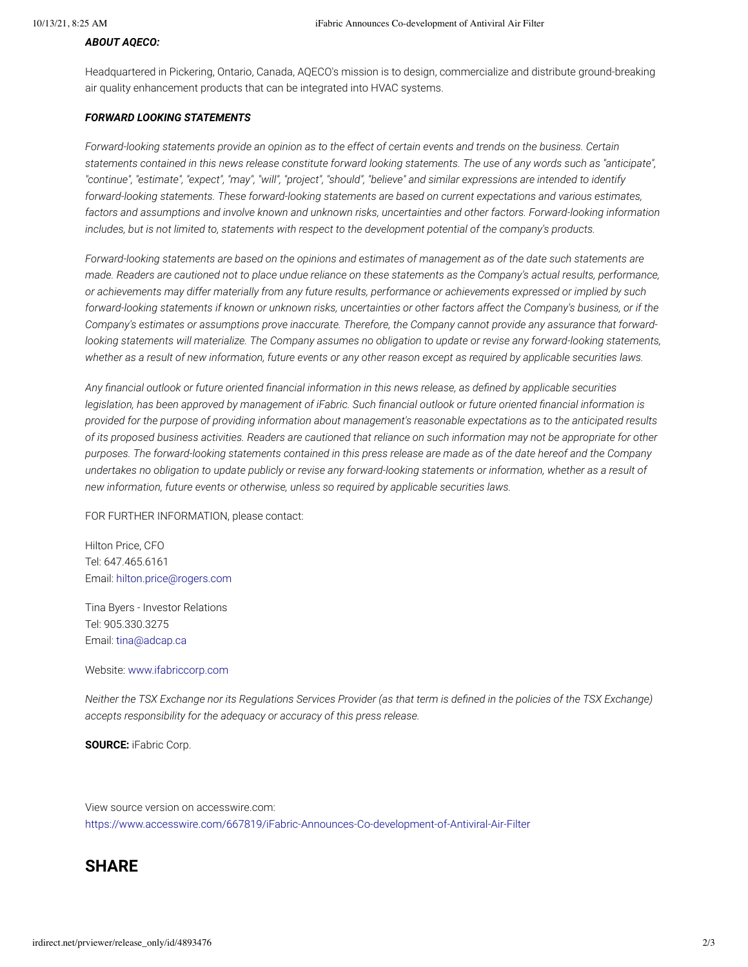#### *ABOUT AQECO:*

Headquartered in Pickering, Ontario, Canada, AQECO's mission is to design, commercialize and distribute ground-breaking air quality enhancement products that can be integrated into HVAC systems.

#### *FORWARD LOOKING STATEMENTS*

*Forward-looking statements provide an opinion as to the effect of certain events and trends on the business. Certain statements contained in this news release constitute forward looking statements. The use of any words such as "anticipate", "continue", "estimate", "expect", "may", "will", "project", "should", "believe" and similar expressions are intended to identify forward-looking statements. These forward-looking statements are based on current expectations and various estimates, factors and assumptions and involve known and unknown risks, uncertainties and other factors. Forward-looking information includes, but is not limited to, statements with respect to the development potential of the company's products.*

*Forward-looking statements are based on the opinions and estimates of management as of the date such statements are made. Readers are cautioned not to place undue reliance on these statements as the Company's actual results, performance, or achievements may differ materially from any future results, performance or achievements expressed or implied by such forward-looking statements if known or unknown risks, uncertainties or other factors affect the Company's business, or if the Company's estimates or assumptions prove inaccurate. Therefore, the Company cannot provide any assurance that forwardlooking statements will materialize. The Company assumes no obligation to update or revise any forward-looking statements, whether as a result of new information, future events or any other reason except as required by applicable securities laws.*

*Any financial outlook or future oriented financial information in this news release, as defined by applicable securities legislation, has been approved by management of iFabric. Such financial outlook or future oriented financial information is provided for the purpose of providing information about management's reasonable expectations as to the anticipated results of its proposed business activities. Readers are cautioned that reliance on such information may not be appropriate for other purposes. The forward-looking statements contained in this press release are made as of the date hereof and the Company undertakes no obligation to update publicly or revise any forward-looking statements or information, whether as a result of new information, future events or otherwise, unless so required by applicable securities laws.*

FOR FURTHER INFORMATION, please contact:

Hilton Price, CFO Tel: 647.465.6161 Email: [hilton.price@rogers.com](mailto:hilton.price@rogers.com)

Tina Byers - Investor Relations Tel: 905.330.3275 Email: [tina@adcap.ca](mailto:tina@adcap.ca)

#### Website: [www.ifabriccorp.com](https://pr.report/9LfqWeiD)

*Neither the TSX Exchange nor its Regulations Services Provider (as that term is defined in the policies of the TSX Exchange) accepts responsibility for the adequacy or accuracy of this press release.*

**SOURCE:** iFabric Corp.

View source version on accesswire.com: <https://www.accesswire.com/667819/iFabric-Announces-Co-development-of-Antiviral-Air-Filter>

## **SHARE**